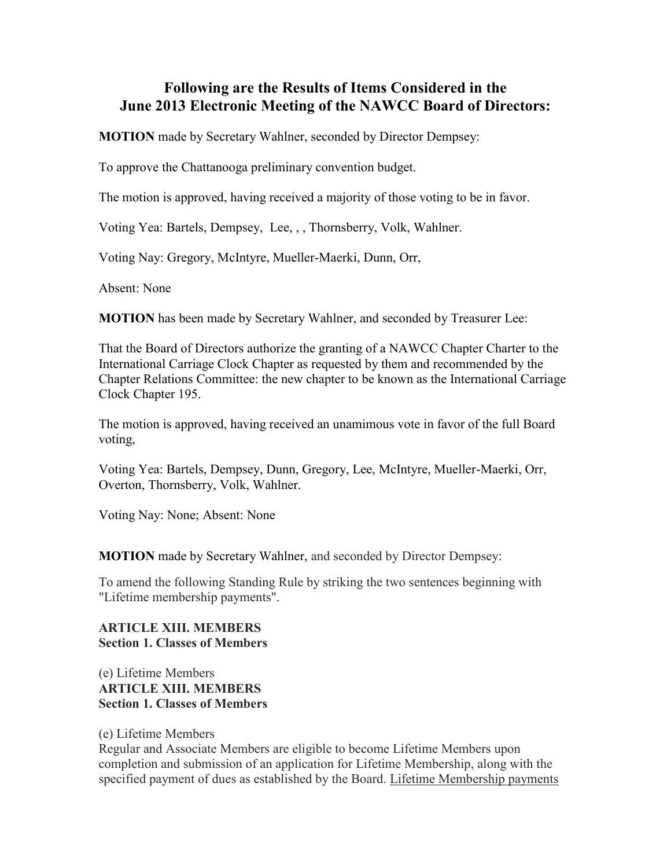## **Following are the Results of Items Considered in the June 2013 Electronic Meeting of the NAWCC Board of Directors:**

**MOTION** made by Secretary Wahlner, seconded by Director Dempsey:

To approve the Chattanooga preliminary convention budget.

The motion is approved, having received a majority of those voting to be in favor.

Voting Yea: Bartels, Dempsey, Lee, , , Thornsberry, Volk, Wahlner.

Voting Nay: Gregory, McIntyre, Mueller-Maerki, Dunn, Orr,

Absent: None

**MOTION** has been made by Secretary Wahlner, and seconded by Treasurer Lee:

That the Board of Directors authorize the granting of a NAWCC Chapter Charter to the International Carriage Clock Chapter as requested by them and recommended by the Chapter Relations Committee: the new chapter to be known as the International Carriage Clock Chapter 195.

The motion is approved, having received an unamimous vote in favor of the full Board voting,

Voting Yea: Bartels, Dempsey, Dunn, Gregory, Lee, McIntyre, Mueller-Maerki, Orr, Overton, Thornsberry, Volk, Wahlner.

Voting Nay: None; Absent: None

**MOTION** made by Secretary Wahlner, and seconded by Director Dempsey:

To amend the following Standing Rule by striking the two sentences beginning with "Lifetime membership payments".

## **ARTICLE XIII. MEMBERS Section 1. Classes of Members**

## (e) Lifetime Members **ARTICLE XIII. MEMBERS Section 1. Classes of Members**

## (e) Lifetime Members

Regular and Associate Members are eligible to become Lifetime Members upon completion and submission of an application for Lifetime Membership, along with the specified payment of dues as established by the Board. Lifetime Membership payments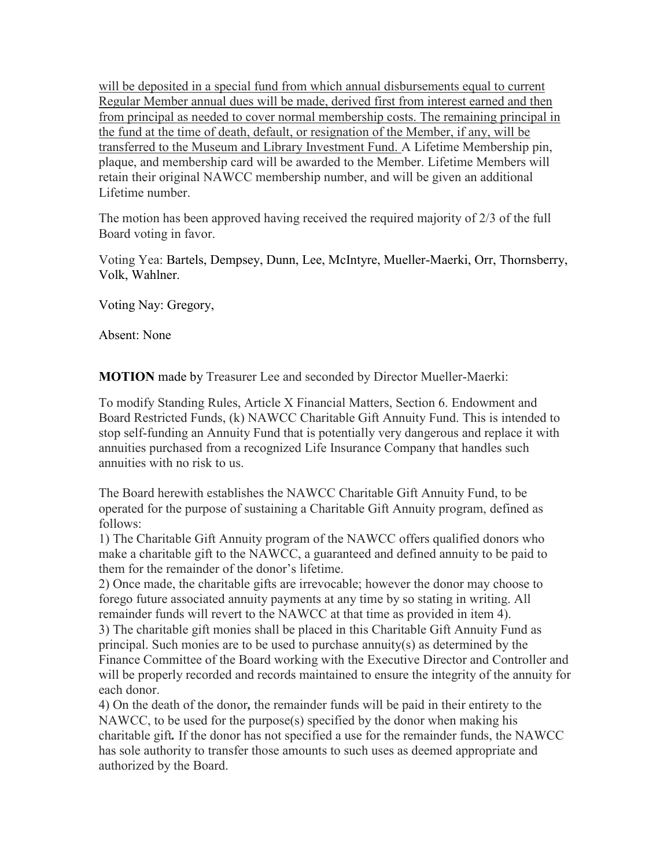will be deposited in a special fund from which annual disbursements equal to current Regular Member annual dues will be made, derived first from interest earned and then from principal as needed to cover normal membership costs. The remaining principal in the fund at the time of death, default, or resignation of the Member, if any, will be transferred to the Museum and Library Investment Fund. A Lifetime Membership pin, plaque, and membership card will be awarded to the Member. Lifetime Members will retain their original NAWCC membership number, and will be given an additional Lifetime number.

The motion has been approved having received the required majority of 2/3 of the full Board voting in favor.

Voting Yea: Bartels, Dempsey, Dunn, Lee, McIntyre, Mueller-Maerki, Orr, Thornsberry, Volk, Wahlner.

Voting Nay: Gregory,

Absent: None

**MOTION** made by Treasurer Lee and seconded by Director Mueller-Maerki:

To modify Standing Rules, Article X Financial Matters, Section 6. Endowment and Board Restricted Funds, (k) NAWCC Charitable Gift Annuity Fund. This is intended to stop self-funding an Annuity Fund that is potentially very dangerous and replace it with annuities purchased from a recognized Life Insurance Company that handles such annuities with no risk to us.

The Board herewith establishes the NAWCC Charitable Gift Annuity Fund, to be operated for the purpose of sustaining a Charitable Gift Annuity program, defined as follows:

1) The Charitable Gift Annuity program of the NAWCC offers qualified donors who make a charitable gift to the NAWCC, a guaranteed and defined annuity to be paid to them for the remainder of the donor's lifetime.

2) Once made, the charitable gifts are irrevocable; however the donor may choose to forego future associated annuity payments at any time by so stating in writing. All remainder funds will revert to the NAWCC at that time as provided in item 4). 3) The charitable gift monies shall be placed in this Charitable Gift Annuity Fund as

principal. Such monies are to be used to purchase annuity(s) as determined by the Finance Committee of the Board working with the Executive Director and Controller and will be properly recorded and records maintained to ensure the integrity of the annuity for each donor.

4) On the death of the donor*,* the remainder funds will be paid in their entirety to the NAWCC, to be used for the purpose(s) specified by the donor when making his charitable gift*.* If the donor has not specified a use for the remainder funds, the NAWCC has sole authority to transfer those amounts to such uses as deemed appropriate and authorized by the Board.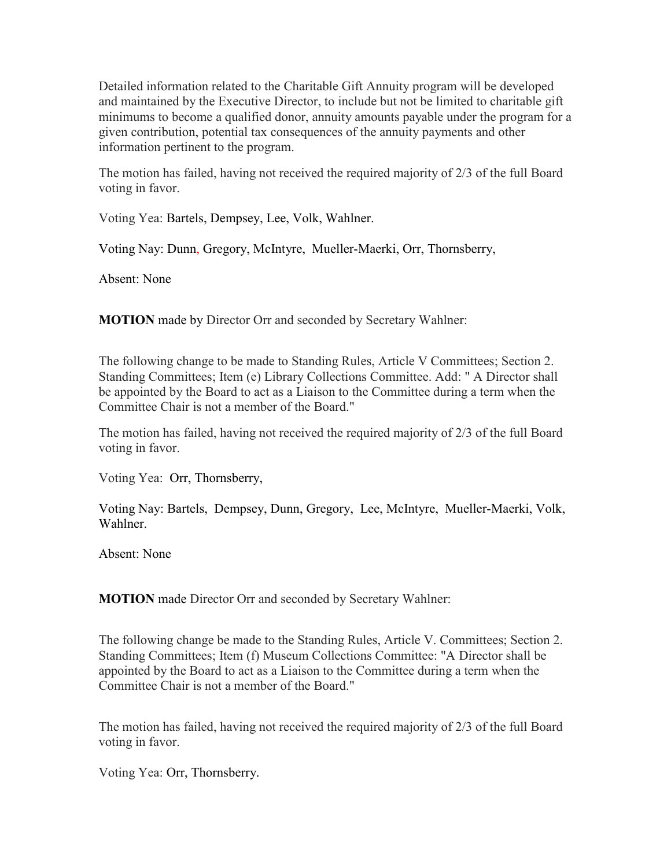Detailed information related to the Charitable Gift Annuity program will be developed and maintained by the Executive Director, to include but not be limited to charitable gift minimums to become a qualified donor, annuity amounts payable under the program for a given contribution, potential tax consequences of the annuity payments and other information pertinent to the program.

The motion has failed, having not received the required majority of 2/3 of the full Board voting in favor.

Voting Yea: Bartels, Dempsey, Lee, Volk, Wahlner.

Voting Nay: Dunn, Gregory, McIntyre, Mueller-Maerki, Orr, Thornsberry,

Absent: None

**MOTION** made by Director Orr and seconded by Secretary Wahlner:

The following change to be made to Standing Rules, Article V Committees; Section 2. Standing Committees; Item (e) Library Collections Committee. Add: " A Director shall be appointed by the Board to act as a Liaison to the Committee during a term when the Committee Chair is not a member of the Board."

The motion has failed, having not received the required majority of 2/3 of the full Board voting in favor.

Voting Yea: Orr, Thornsberry,

Voting Nay: Bartels, Dempsey, Dunn, Gregory, Lee, McIntyre, Mueller-Maerki, Volk, Wahlner.

Absent: None

**MOTION** made Director Orr and seconded by Secretary Wahlner:

The following change be made to the Standing Rules, Article V. Committees; Section 2. Standing Committees; Item (f) Museum Collections Committee: "A Director shall be appointed by the Board to act as a Liaison to the Committee during a term when the Committee Chair is not a member of the Board."

The motion has failed, having not received the required majority of 2/3 of the full Board voting in favor.

Voting Yea: Orr, Thornsberry.